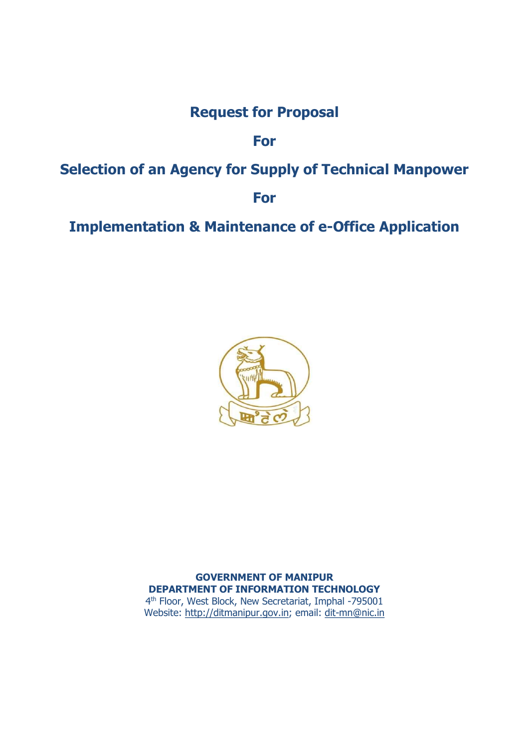# Request for Proposal

For

# Selection of an Agency for Supply of Technical Manpower

For

Implementation & Maintenance of e-Office Application



GOVERNMENT OF MANIPUR DEPARTMENT OF INFORMATION TECHNOLOGY 4 th Floor, West Block, New Secretariat, Imphal -795001 Website: http://ditmanipur.gov.in; email: dit-mn@nic.in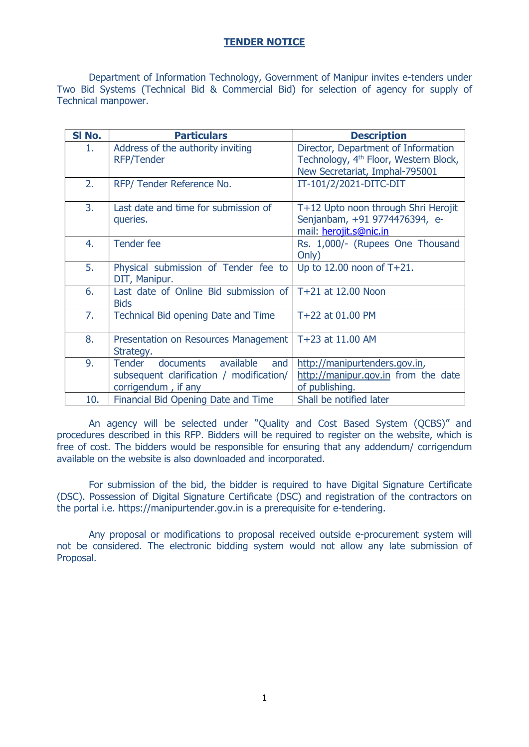## TENDER NOTICE

Department of Information Technology, Government of Manipur invites e-tenders under Two Bid Systems (Technical Bid & Commercial Bid) for selection of agency for supply of Technical manpower.

| SI No. | <b>Particulars</b>                                                                                         | <b>Description</b>                                                                                                         |
|--------|------------------------------------------------------------------------------------------------------------|----------------------------------------------------------------------------------------------------------------------------|
| 1.     | Address of the authority inviting<br><b>RFP/Tender</b>                                                     | Director, Department of Information<br>Technology, 4 <sup>th</sup> Floor, Western Block,<br>New Secretariat, Imphal-795001 |
| 2.     | RFP/ Tender Reference No.                                                                                  | IT-101/2/2021-DITC-DIT                                                                                                     |
| 3.     | Last date and time for submission of<br>queries.                                                           | T+12 Upto noon through Shri Herojit<br>Senjanbam, +91 9774476394, e-<br>mail: herojit.s@nic.in                             |
| 4.     | Tender fee                                                                                                 | Rs. 1,000/- (Rupees One Thousand<br>Only)                                                                                  |
| 5.     | Physical submission of Tender fee to<br>DIT, Manipur.                                                      | Up to $12.00$ noon of $T+21$ .                                                                                             |
| 6.     | Last date of Online Bid submission of<br><b>Bids</b>                                                       | T+21 at 12.00 Noon                                                                                                         |
| 7.     | Technical Bid opening Date and Time                                                                        | T+22 at 01.00 PM                                                                                                           |
| 8.     | Presentation on Resources Management<br>Strategy.                                                          | T+23 at 11.00 AM                                                                                                           |
| 9.     | documents<br>available<br>Tender<br>and<br>subsequent clarification / modification/<br>corrigendum, if any | http://manipurtenders.gov.in,<br>http://manipur.gov.in from the date<br>of publishing.                                     |
| 10.    | Financial Bid Opening Date and Time                                                                        | Shall be notified later                                                                                                    |

An agency will be selected under "Quality and Cost Based System (QCBS)" and procedures described in this RFP. Bidders will be required to register on the website, which is free of cost. The bidders would be responsible for ensuring that any addendum/ corrigendum available on the website is also downloaded and incorporated.

For submission of the bid, the bidder is required to have Digital Signature Certificate (DSC). Possession of Digital Signature Certificate (DSC) and registration of the contractors on the portal i.e. https://manipurtender.gov.in is a prerequisite for e-tendering.

Any proposal or modifications to proposal received outside e-procurement system will not be considered. The electronic bidding system would not allow any late submission of Proposal.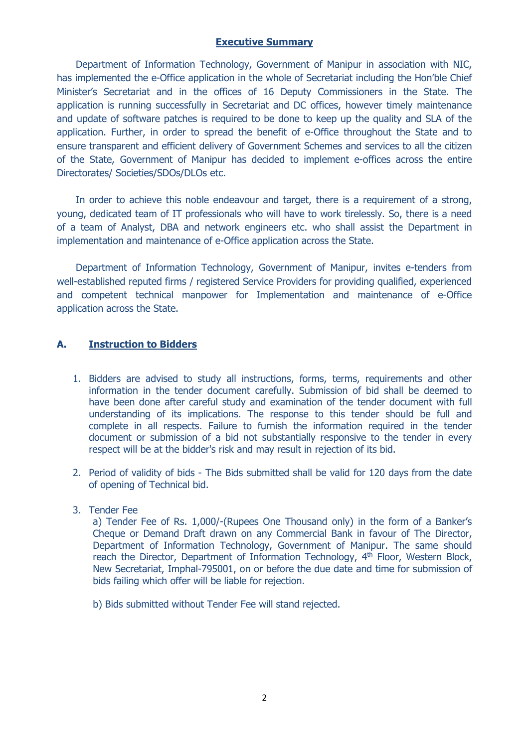## Executive Summary

Department of Information Technology, Government of Manipur in association with NIC, has implemented the e-Office application in the whole of Secretariat including the Hon'ble Chief Minister's Secretariat and in the offices of 16 Deputy Commissioners in the State. The application is running successfully in Secretariat and DC offices, however timely maintenance and update of software patches is required to be done to keep up the quality and SLA of the application. Further, in order to spread the benefit of e-Office throughout the State and to ensure transparent and efficient delivery of Government Schemes and services to all the citizen of the State, Government of Manipur has decided to implement e-offices across the entire Directorates/ Societies/SDOs/DLOs etc.

In order to achieve this noble endeavour and target, there is a requirement of a strong, young, dedicated team of IT professionals who will have to work tirelessly. So, there is a need of a team of Analyst, DBA and network engineers etc. who shall assist the Department in implementation and maintenance of e-Office application across the State.

Department of Information Technology, Government of Manipur, invites e-tenders from well-established reputed firms / registered Service Providers for providing qualified, experienced and competent technical manpower for Implementation and maintenance of e-Office application across the State.

## A. Instruction to Bidders

- 1. Bidders are advised to study all instructions, forms, terms, requirements and other information in the tender document carefully. Submission of bid shall be deemed to have been done after careful study and examination of the tender document with full understanding of its implications. The response to this tender should be full and complete in all respects. Failure to furnish the information required in the tender document or submission of a bid not substantially responsive to the tender in every respect will be at the bidder's risk and may result in rejection of its bid.
- 2. Period of validity of bids The Bids submitted shall be valid for 120 days from the date of opening of Technical bid.

## 3. Tender Fee

a) Tender Fee of Rs. 1,000/-(Rupees One Thousand only) in the form of a Banker's Cheque or Demand Draft drawn on any Commercial Bank in favour of The Director, Department of Information Technology, Government of Manipur. The same should reach the Director, Department of Information Technology, 4<sup>th</sup> Floor, Western Block, New Secretariat, Imphal-795001, on or before the due date and time for submission of bids failing which offer will be liable for rejection.

b) Bids submitted without Tender Fee will stand rejected.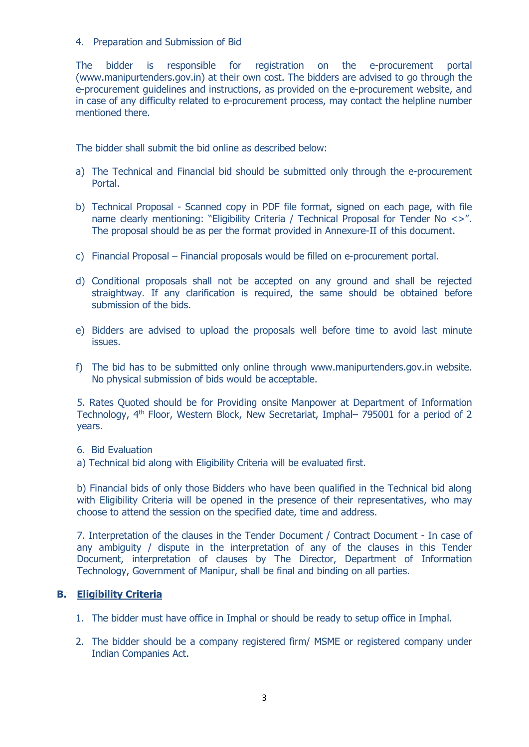## 4. Preparation and Submission of Bid

The bidder is responsible for registration on the e-procurement portal (www.manipurtenders.gov.in) at their own cost. The bidders are advised to go through the e-procurement guidelines and instructions, as provided on the e-procurement website, and in case of any difficulty related to e-procurement process, may contact the helpline number mentioned there.

The bidder shall submit the bid online as described below:

- a) The Technical and Financial bid should be submitted only through the e-procurement Portal.
- b) Technical Proposal Scanned copy in PDF file format, signed on each page, with file name clearly mentioning: "Eligibility Criteria / Technical Proposal for Tender No <>". The proposal should be as per the format provided in Annexure-II of this document.
- c) Financial Proposal Financial proposals would be filled on e-procurement portal.
- d) Conditional proposals shall not be accepted on any ground and shall be rejected straightway. If any clarification is required, the same should be obtained before submission of the bids.
- e) Bidders are advised to upload the proposals well before time to avoid last minute issues.
- f) The bid has to be submitted only online through www.manipurtenders.gov.in website. No physical submission of bids would be acceptable.

5. Rates Quoted should be for Providing onsite Manpower at Department of Information Technology, 4<sup>th</sup> Floor, Western Block, New Secretariat, Imphal– 795001 for a period of 2 years.

6. Bid Evaluation

a) Technical bid along with Eligibility Criteria will be evaluated first.

b) Financial bids of only those Bidders who have been qualified in the Technical bid along with Eligibility Criteria will be opened in the presence of their representatives, who may choose to attend the session on the specified date, time and address.

7. Interpretation of the clauses in the Tender Document / Contract Document - In case of any ambiguity / dispute in the interpretation of any of the clauses in this Tender Document, interpretation of clauses by The Director, Department of Information Technology, Government of Manipur, shall be final and binding on all parties.

## B. Eligibility Criteria

- 1. The bidder must have office in Imphal or should be ready to setup office in Imphal.
- 2. The bidder should be a company registered firm/ MSME or registered company under Indian Companies Act.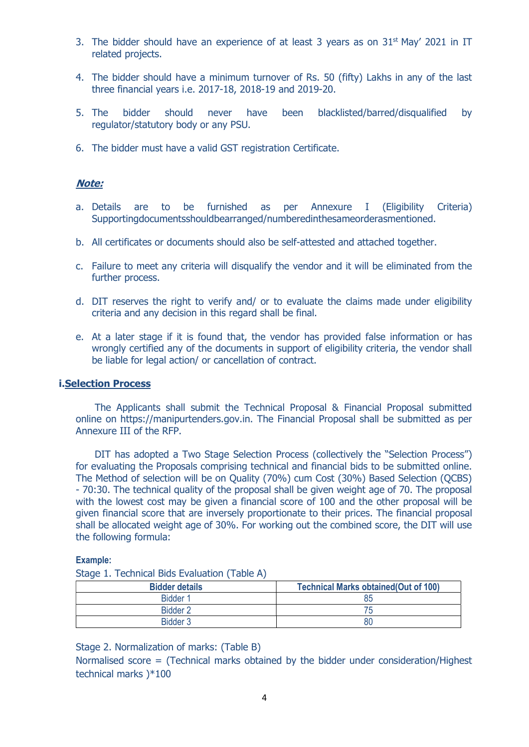- 3. The bidder should have an experience of at least 3 years as on  $31<sup>st</sup>$  May' 2021 in IT related projects.
- 4. The bidder should have a minimum turnover of Rs. 50 (fifty) Lakhs in any of the last three financial years i.e. 2017-18, 2018-19 and 2019-20.
- 5. The bidder should never have been blacklisted/barred/disqualified by regulator/statutory body or any PSU.
- 6. The bidder must have a valid GST registration Certificate.

## Note:

- a. Details are to be furnished as per Annexure I (Eligibility Criteria) Supportingdocumentsshouldbearranged/numberedinthesameorderasmentioned.
- b. All certificates or documents should also be self-attested and attached together.
- c. Failure to meet any criteria will disqualify the vendor and it will be eliminated from the further process.
- d. DIT reserves the right to verify and/ or to evaluate the claims made under eligibility criteria and any decision in this regard shall be final.
- e. At a later stage if it is found that, the vendor has provided false information or has wrongly certified any of the documents in support of eligibility criteria, the vendor shall be liable for legal action/ or cancellation of contract.

## i.Selection Process

The Applicants shall submit the Technical Proposal & Financial Proposal submitted online on https://manipurtenders.gov.in. The Financial Proposal shall be submitted as per Annexure III of the RFP.

DIT has adopted a Two Stage Selection Process (collectively the "Selection Process") for evaluating the Proposals comprising technical and financial bids to be submitted online. The Method of selection will be on Quality (70%) cum Cost (30%) Based Selection (QCBS) - 70:30. The technical quality of the proposal shall be given weight age of 70. The proposal with the lowest cost may be given a financial score of 100 and the other proposal will be given financial score that are inversely proportionate to their prices. The financial proposal shall be allocated weight age of 30%. For working out the combined score, the DIT will use the following formula:

#### Example:

| <b>Bidder details</b> | <b>Technical Marks obtained (Out of 100)</b> |
|-----------------------|----------------------------------------------|
| Bidder 1              | 85                                           |
| Bidder 2              |                                              |
| Bidder 3              | 80                                           |

Stage 2. Normalization of marks: (Table B)

Normalised score  $=$  (Technical marks obtained by the bidder under consideration/Highest technical marks )\*100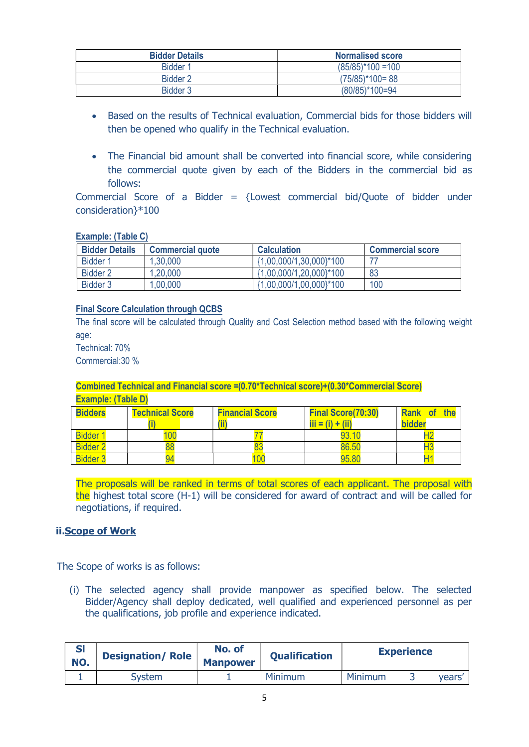| <b>Bidder Details</b> | <b>Normalised score</b> |
|-----------------------|-------------------------|
| Bidder 1              | $(85/85)*100 = 100$     |
| Bidder 2              | $(75/85)$ *100=88       |
| Bidder 3              | (80/85)*100=94          |

- Based on the results of Technical evaluation, Commercial bids for those bidders will then be opened who qualify in the Technical evaluation.
- The Financial bid amount shall be converted into financial score, while considering the commercial quote given by each of the Bidders in the commercial bid as follows:

Commercial Score of a Bidder =  ${Lowest}$  commercial bid/Quote of bidder under consideration}\*100

## Example: (Table C)

| <b>Bidder Details</b> | <b>Commercial quote</b> | <b>Calculation</b>         | <b>Commercial score</b> |
|-----------------------|-------------------------|----------------------------|-------------------------|
| Bidder 1              | 1,30,000                | {1,00,000/1,30,000}*100    |                         |
| Bidder 2              | 1,20,000                | $(1,00,000/1,20,000)^*100$ | 83                      |
| Bidder 3              | 00,000                  | ,00,000/1,00,000}*100      | 100                     |

## Final Score Calculation through QCBS

The final score will be calculated through Quality and Cost Selection method based with the following weight age:

Technical: 70%

Commercial:30 %

## Combined Technical and Financial score =(0.70\*Technical score)+(0.30\*Commercial Score) Example: (Table D)

| <b>Bidders</b>  | <b>Fechnical Score</b> | <b>Financial Score</b> | <b>Final Score(70:30)</b> | <b>the</b><br><b>Rank</b><br><u>∣ of</u> |
|-----------------|------------------------|------------------------|---------------------------|------------------------------------------|
|                 |                        | (ii                    | $iii = (i) + (ii)$        | <b>bidder</b>                            |
| <b>Bidder</b>   |                        |                        | 93                        |                                          |
| <b>Ridder ∠</b> |                        |                        | 86.50                     |                                          |
| <b>Bidder</b>   | 94                     | $\overline{00}$        | 95.80                     |                                          |

The proposals will be ranked in terms of total scores of each applicant. The proposal with the highest total score (H-1) will be considered for award of contract and will be called for negotiations, if required.

## ii.Scope of Work

The Scope of works is as follows:

(i) The selected agency shall provide manpower as specified below. The selected Bidder/Agency shall deploy dedicated, well qualified and experienced personnel as per the qualifications, job profile and experience indicated.

| <b>SI</b><br>NO. | <b>Designation/Role</b> | No. of<br><b>Manpower</b> | <b>Oualification</b> |         | <b>Experience</b> |              |
|------------------|-------------------------|---------------------------|----------------------|---------|-------------------|--------------|
|                  | System                  |                           | Minimum              | Minimum |                   | <b>vears</b> |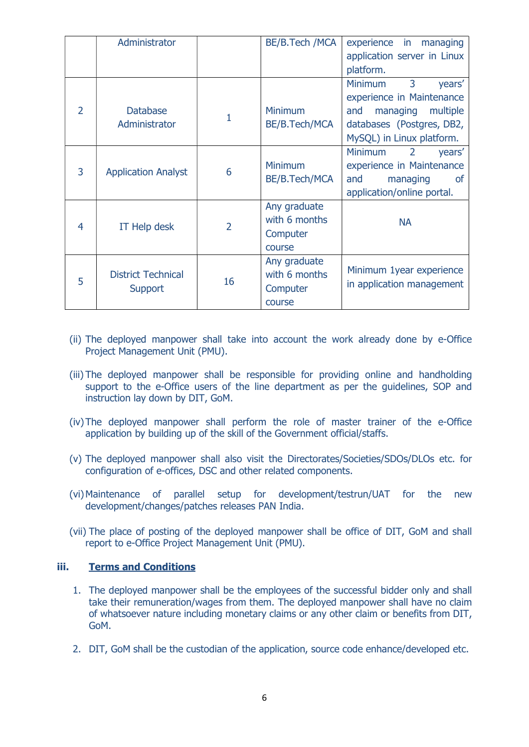|                | Administrator              |                | BE/B.Tech /MCA | experience in managing                     |
|----------------|----------------------------|----------------|----------------|--------------------------------------------|
|                |                            |                |                | application server in Linux                |
|                |                            |                |                | platform.                                  |
|                |                            |                |                | 3<br><b>Minimum</b><br>years'              |
|                |                            |                |                | experience in Maintenance                  |
| $\overline{2}$ | <b>Database</b>            | 1              | <b>Minimum</b> | managing<br>multiple<br>and                |
|                | Administrator              |                | BE/B.Tech/MCA  | databases (Postgres, DB2,                  |
|                |                            |                |                | MySQL) in Linux platform.                  |
|                |                            |                |                | <b>Minimum</b><br>$\overline{2}$<br>years' |
| 3              |                            | 6              | <b>Minimum</b> | experience in Maintenance                  |
|                | <b>Application Analyst</b> |                | BE/B.Tech/MCA  | and<br>managing<br>0f                      |
|                |                            |                |                | application/online portal.                 |
|                |                            |                | Any graduate   |                                            |
| 4              | <b>IT Help desk</b>        | $\overline{2}$ | with 6 months  | <b>NA</b>                                  |
|                |                            |                | Computer       |                                            |
|                |                            |                | course         |                                            |
|                |                            |                | Any graduate   |                                            |
| 5              | <b>District Technical</b>  | 16             | with 6 months  | Minimum 1year experience                   |
|                | Support                    |                | Computer       | in application management                  |
|                |                            |                | course         |                                            |

- (ii) The deployed manpower shall take into account the work already done by e-Office Project Management Unit (PMU).
- (iii) The deployed manpower shall be responsible for providing online and handholding support to the e-Office users of the line department as per the guidelines, SOP and instruction lay down by DIT, GoM.
- (iv)The deployed manpower shall perform the role of master trainer of the e-Office application by building up of the skill of the Government official/staffs.
- (v) The deployed manpower shall also visit the Directorates/Societies/SDOs/DLOs etc. for configuration of e-offices, DSC and other related components.
- (vi)Maintenance of parallel setup for development/testrun/UAT for the new development/changes/patches releases PAN India.
- (vii) The place of posting of the deployed manpower shall be office of DIT, GoM and shall report to e-Office Project Management Unit (PMU).

## iii. Terms and Conditions

- 1. The deployed manpower shall be the employees of the successful bidder only and shall take their remuneration/wages from them. The deployed manpower shall have no claim of whatsoever nature including monetary claims or any other claim or benefits from DIT, GoM.
- 2. DIT, GoM shall be the custodian of the application, source code enhance/developed etc.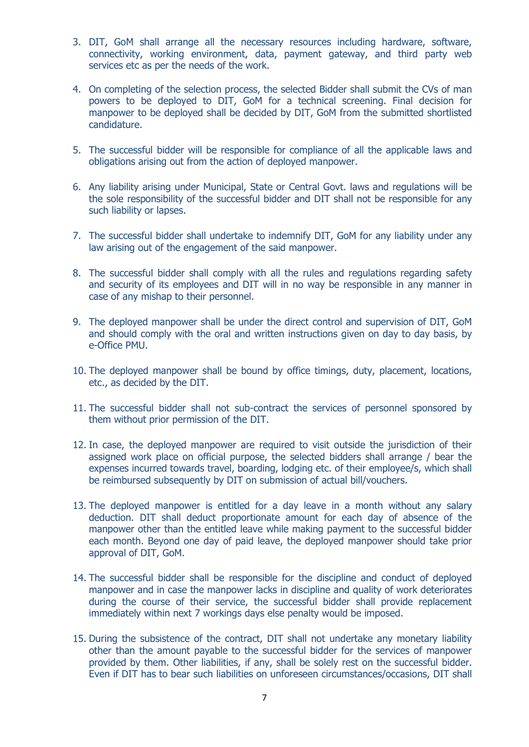- 3. DIT, GoM shall arrange all the necessary resources including hardware, software, connectivity, working environment, data, payment gateway, and third party web services etc as per the needs of the work.
- 4. On completing of the selection process, the selected Bidder shall submit the CVs of man powers to be deployed to DIT, GoM for a technical screening. Final decision for manpower to be deployed shall be decided by DIT, GoM from the submitted shortlisted candidature.
- 5. The successful bidder will be responsible for compliance of all the applicable laws and obligations arising out from the action of deployed manpower.
- 6. Any liability arising under Municipal, State or Central Govt. laws and regulations will be the sole responsibility of the successful bidder and DIT shall not be responsible for any such liability or lapses.
- 7. The successful bidder shall undertake to indemnify DIT, GoM for any liability under any law arising out of the engagement of the said manpower.
- 8. The successful bidder shall comply with all the rules and regulations regarding safety and security of its employees and DIT will in no way be responsible in any manner in case of any mishap to their personnel.
- 9. The deployed manpower shall be under the direct control and supervision of DIT, GoM and should comply with the oral and written instructions given on day to day basis, by e-Office PMU.
- 10. The deployed manpower shall be bound by office timings, duty, placement, locations, etc., as decided by the DIT.
- 11. The successful bidder shall not sub-contract the services of personnel sponsored by them without prior permission of the DIT.
- 12. In case, the deployed manpower are required to visit outside the jurisdiction of their assigned work place on official purpose, the selected bidders shall arrange / bear the expenses incurred towards travel, boarding, lodging etc. of their employee/s, which shall be reimbursed subsequently by DIT on submission of actual bill/vouchers.
- 13. The deployed manpower is entitled for a day leave in a month without any salary deduction. DIT shall deduct proportionate amount for each day of absence of the manpower other than the entitled leave while making payment to the successful bidder each month. Beyond one day of paid leave, the deployed manpower should take prior approval of DIT, GoM.
- 14. The successful bidder shall be responsible for the discipline and conduct of deployed manpower and in case the manpower lacks in discipline and quality of work deteriorates during the course of their service, the successful bidder shall provide replacement immediately within next 7 workings days else penalty would be imposed.
- 15. During the subsistence of the contract, DIT shall not undertake any monetary liability other than the amount payable to the successful bidder for the services of manpower provided by them. Other liabilities, if any, shall be solely rest on the successful bidder. Even if DIT has to bear such liabilities on unforeseen circumstances/occasions, DIT shall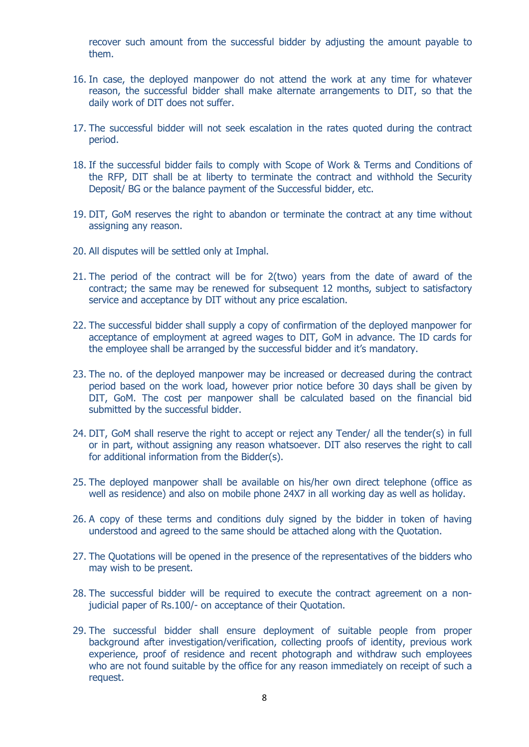recover such amount from the successful bidder by adjusting the amount payable to them.

- 16. In case, the deployed manpower do not attend the work at any time for whatever reason, the successful bidder shall make alternate arrangements to DIT, so that the daily work of DIT does not suffer.
- 17. The successful bidder will not seek escalation in the rates quoted during the contract period.
- 18. If the successful bidder fails to comply with Scope of Work & Terms and Conditions of the RFP, DIT shall be at liberty to terminate the contract and withhold the Security Deposit/ BG or the balance payment of the Successful bidder, etc.
- 19. DIT, GoM reserves the right to abandon or terminate the contract at any time without assigning any reason.
- 20. All disputes will be settled only at Imphal.
- 21. The period of the contract will be for 2(two) years from the date of award of the contract; the same may be renewed for subsequent 12 months, subject to satisfactory service and acceptance by DIT without any price escalation.
- 22. The successful bidder shall supply a copy of confirmation of the deployed manpower for acceptance of employment at agreed wages to DIT, GoM in advance. The ID cards for the employee shall be arranged by the successful bidder and it's mandatory.
- 23. The no. of the deployed manpower may be increased or decreased during the contract period based on the work load, however prior notice before 30 days shall be given by DIT, GoM. The cost per manpower shall be calculated based on the financial bid submitted by the successful bidder.
- 24. DIT, GoM shall reserve the right to accept or reject any Tender/ all the tender(s) in full or in part, without assigning any reason whatsoever. DIT also reserves the right to call for additional information from the Bidder(s).
- 25. The deployed manpower shall be available on his/her own direct telephone (office as well as residence) and also on mobile phone 24X7 in all working day as well as holiday.
- 26. A copy of these terms and conditions duly signed by the bidder in token of having understood and agreed to the same should be attached along with the Quotation.
- 27. The Quotations will be opened in the presence of the representatives of the bidders who may wish to be present.
- 28. The successful bidder will be required to execute the contract agreement on a nonjudicial paper of Rs.100/- on acceptance of their Quotation.
- 29. The successful bidder shall ensure deployment of suitable people from proper background after investigation/verification, collecting proofs of identity, previous work experience, proof of residence and recent photograph and withdraw such employees who are not found suitable by the office for any reason immediately on receipt of such a request.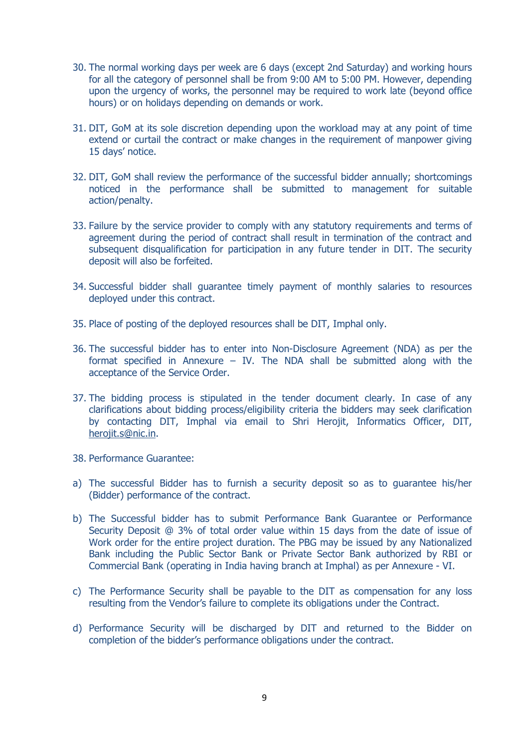- 30. The normal working days per week are 6 days (except 2nd Saturday) and working hours for all the category of personnel shall be from 9:00 AM to 5:00 PM. However, depending upon the urgency of works, the personnel may be required to work late (beyond office hours) or on holidays depending on demands or work.
- 31. DIT, GoM at its sole discretion depending upon the workload may at any point of time extend or curtail the contract or make changes in the requirement of manpower giving 15 days' notice.
- 32. DIT, GoM shall review the performance of the successful bidder annually; shortcomings noticed in the performance shall be submitted to management for suitable action/penalty.
- 33. Failure by the service provider to comply with any statutory requirements and terms of agreement during the period of contract shall result in termination of the contract and subsequent disqualification for participation in any future tender in DIT. The security deposit will also be forfeited.
- 34. Successful bidder shall guarantee timely payment of monthly salaries to resources deployed under this contract.
- 35. Place of posting of the deployed resources shall be DIT, Imphal only.
- 36. The successful bidder has to enter into Non-Disclosure Agreement (NDA) as per the format specified in Annexure – IV. The NDA shall be submitted along with the acceptance of the Service Order.
- 37. The bidding process is stipulated in the tender document clearly. In case of any clarifications about bidding process/eligibility criteria the bidders may seek clarification by contacting DIT, Imphal via email to Shri Herojit, Informatics Officer, DIT, herojit.s@nic.in.
- 38. Performance Guarantee:
- a) The successful Bidder has to furnish a security deposit so as to guarantee his/her (Bidder) performance of the contract.
- b) The Successful bidder has to submit Performance Bank Guarantee or Performance Security Deposit @ 3% of total order value within 15 days from the date of issue of Work order for the entire project duration. The PBG may be issued by any Nationalized Bank including the Public Sector Bank or Private Sector Bank authorized by RBI or Commercial Bank (operating in India having branch at Imphal) as per Annexure - VI.
- c) The Performance Security shall be payable to the DIT as compensation for any loss resulting from the Vendor's failure to complete its obligations under the Contract.
- d) Performance Security will be discharged by DIT and returned to the Bidder on completion of the bidder's performance obligations under the contract.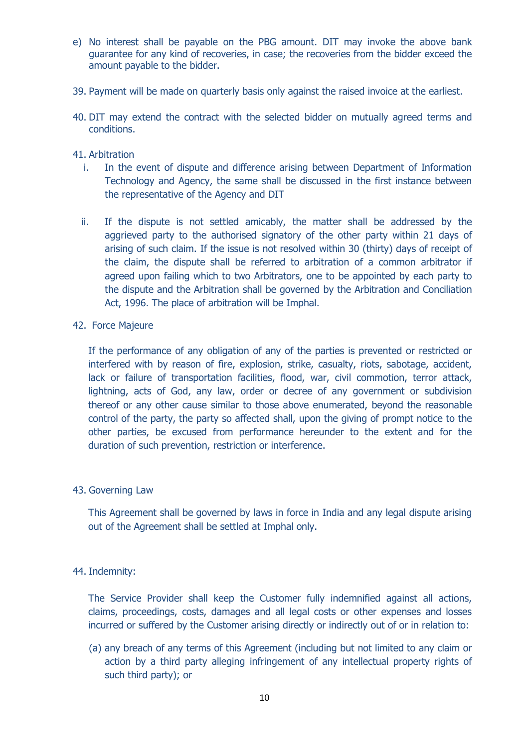- e) No interest shall be payable on the PBG amount. DIT may invoke the above bank guarantee for any kind of recoveries, in case; the recoveries from the bidder exceed the amount payable to the bidder.
- 39. Payment will be made on quarterly basis only against the raised invoice at the earliest.
- 40. DIT may extend the contract with the selected bidder on mutually agreed terms and conditions.
- 41. Arbitration
	- i. In the event of dispute and difference arising between Department of Information Technology and Agency, the same shall be discussed in the first instance between the representative of the Agency and DIT
	- ii. If the dispute is not settled amicably, the matter shall be addressed by the aggrieved party to the authorised signatory of the other party within 21 days of arising of such claim. If the issue is not resolved within 30 (thirty) days of receipt of the claim, the dispute shall be referred to arbitration of a common arbitrator if agreed upon failing which to two Arbitrators, one to be appointed by each party to the dispute and the Arbitration shall be governed by the Arbitration and Conciliation Act, 1996. The place of arbitration will be Imphal.
- 42. Force Majeure

If the performance of any obligation of any of the parties is prevented or restricted or interfered with by reason of fire, explosion, strike, casualty, riots, sabotage, accident, lack or failure of transportation facilities, flood, war, civil commotion, terror attack, lightning, acts of God, any law, order or decree of any government or subdivision thereof or any other cause similar to those above enumerated, beyond the reasonable control of the party, the party so affected shall, upon the giving of prompt notice to the other parties, be excused from performance hereunder to the extent and for the duration of such prevention, restriction or interference.

43. Governing Law

This Agreement shall be governed by laws in force in India and any legal dispute arising out of the Agreement shall be settled at Imphal only.

44. Indemnity:

The Service Provider shall keep the Customer fully indemnified against all actions, claims, proceedings, costs, damages and all legal costs or other expenses and losses incurred or suffered by the Customer arising directly or indirectly out of or in relation to:

(a) any breach of any terms of this Agreement (including but not limited to any claim or action by a third party alleging infringement of any intellectual property rights of such third party); or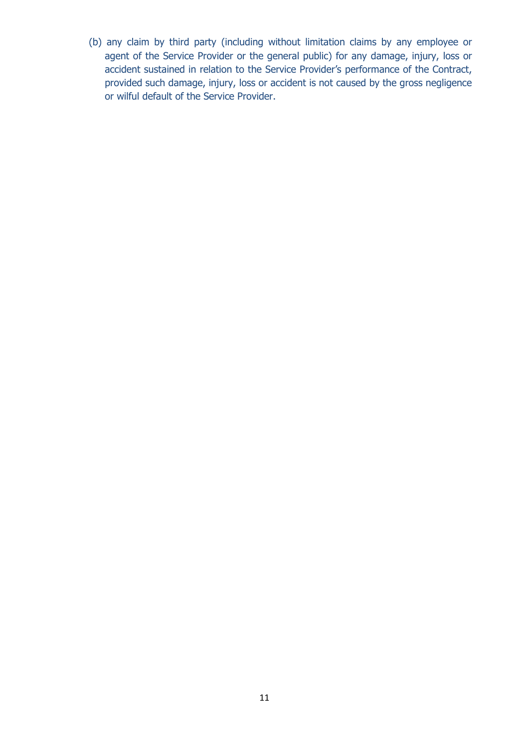(b) any claim by third party (including without limitation claims by any employee or agent of the Service Provider or the general public) for any damage, injury, loss or accident sustained in relation to the Service Provider's performance of the Contract, provided such damage, injury, loss or accident is not caused by the gross negligence or wilful default of the Service Provider.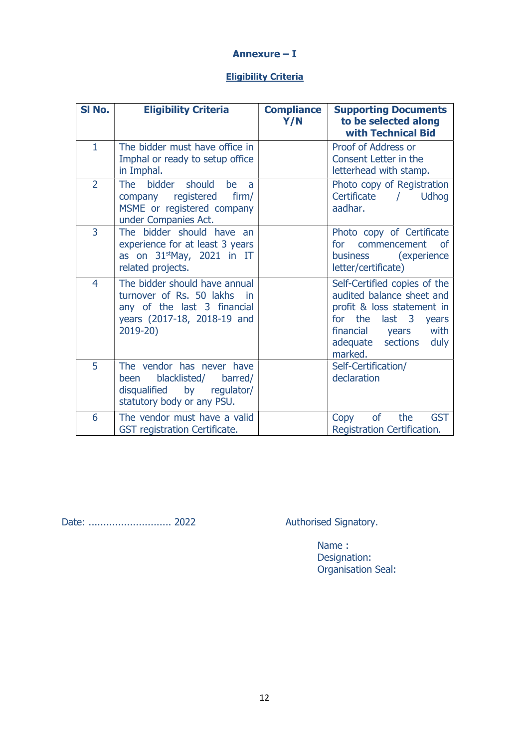## Annexure – I

## Eligibility Criteria

| SI No.         | <b>Eligibility Criteria</b>                                                                                                                      | <b>Compliance</b><br>Y/N | <b>Supporting Documents</b><br>to be selected along<br>with Technical Bid                                                                                                                              |
|----------------|--------------------------------------------------------------------------------------------------------------------------------------------------|--------------------------|--------------------------------------------------------------------------------------------------------------------------------------------------------------------------------------------------------|
| $\mathbf{1}$   | The bidder must have office in<br>Imphal or ready to setup office<br>in Imphal.                                                                  |                          | Proof of Address or<br>Consent Letter in the<br>letterhead with stamp.                                                                                                                                 |
| $\overline{2}$ | <b>The</b><br>bidder should<br>be<br>a<br>company registered<br>firm/<br>MSME or registered company<br>under Companies Act.                      |                          | Photo copy of Registration<br>Certificate<br>Udhog<br>$\prime$<br>aadhar.                                                                                                                              |
| 3              | The bidder should have an<br>experience for at least 3 years<br>as on $31stMay$ , 2021 in IT<br>related projects.                                |                          | Photo copy of Certificate<br>commencement<br>for<br>- of<br>business (experience<br>letter/certificate)                                                                                                |
| 4              | The bidder should have annual<br>turnover of Rs. 50 lakhs<br><i>in</i><br>any of the last 3 financial<br>years (2017-18, 2018-19 and<br>2019-20) |                          | Self-Certified copies of the<br>audited balance sheet and<br>profit & loss statement in<br>for the<br>last <sub>3</sub><br>years<br>financial<br>with<br>years<br>adequate sections<br>duly<br>marked. |
| 5              | The vendor has never have<br>blacklisted/<br>barred/<br>been<br>disqualified<br>by regulator/<br>statutory body or any PSU.                      |                          | Self-Certification/<br>declaration                                                                                                                                                                     |
| 6              | The vendor must have a valid<br>GST registration Certificate.                                                                                    |                          | of<br><b>GST</b><br>the<br>Copy<br>Registration Certification.                                                                                                                                         |

Date: ............................ 2022 Authorised Signatory.

 Name : Designation: Organisation Seal: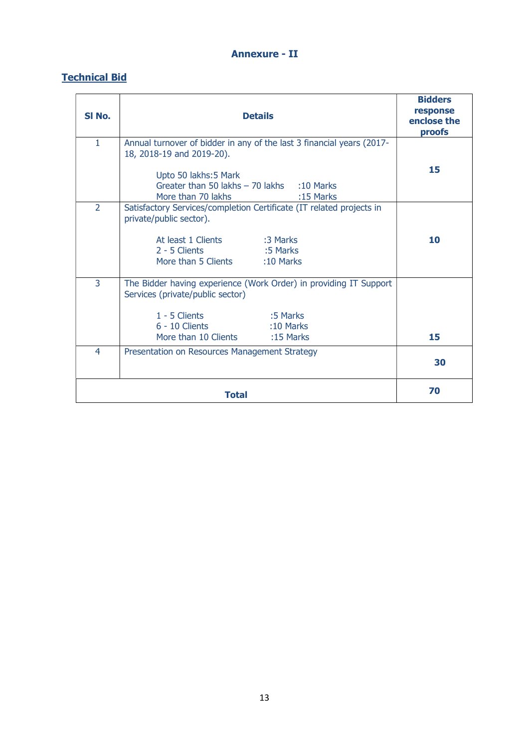## Annexure - II

## Technical Bid

| SI No.         | <b>Details</b>                                                                                          | <b>Bidders</b><br>response<br>enclose the<br>proofs |
|----------------|---------------------------------------------------------------------------------------------------------|-----------------------------------------------------|
| $\mathbf{1}$   | Annual turnover of bidder in any of the last 3 financial years (2017-<br>18, 2018-19 and 2019-20).      |                                                     |
|                | Upto 50 lakhs: 5 Mark<br>Greater than 50 lakhs $-70$ lakhs :10 Marks<br>More than 70 lakhs<br>:15 Marks | 15                                                  |
| $\overline{2}$ | Satisfactory Services/completion Certificate (IT related projects in<br>private/public sector).         |                                                     |
|                | At least 1 Clients<br>:3 Marks<br>2 - 5 Clients<br>:5 Marks<br>More than 5 Clients<br>$:10$ Marks       | 10                                                  |
| $\overline{3}$ | The Bidder having experience (Work Order) in providing IT Support<br>Services (private/public sector)   |                                                     |
|                | $1 - 5$ Clients<br>:5 Marks<br>$6 - 10$ Clients<br>$:10$ Marks<br>More than 10 Clients :15 Marks        | 15                                                  |
| 4              | Presentation on Resources Management Strategy                                                           | 30                                                  |
|                | <b>Total</b>                                                                                            | 70                                                  |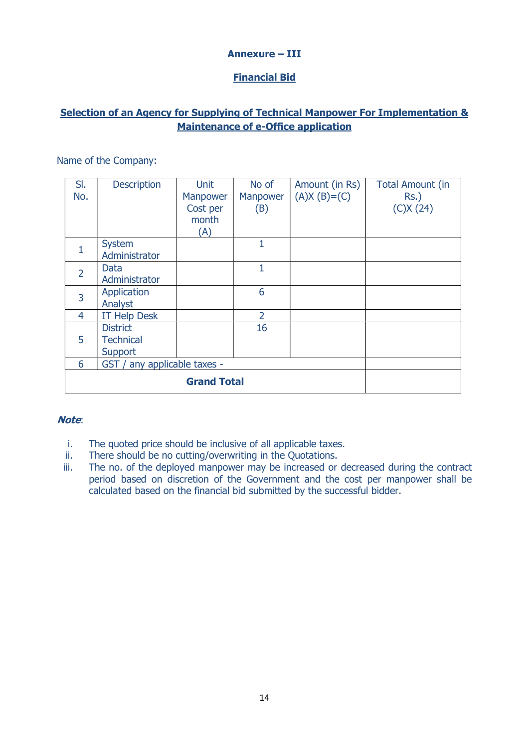## Annexure – III

## Financial Bid

## Selection of an Agency for Supplying of Technical Manpower For Implementation & Maintenance of e-Office application

Name of the Company:

| SI.<br>No.     | <b>Description</b>                             | <b>Unit</b><br>Manpower<br>Cost per<br>month<br>(A) | No of<br>Manpower<br>(B) | Amount (in Rs)<br>$(A)X(B)=(C)$ | Total Amount (in<br>$Rs.$ )<br>(C)X(24) |
|----------------|------------------------------------------------|-----------------------------------------------------|--------------------------|---------------------------------|-----------------------------------------|
|                | <b>System</b><br>Administrator                 |                                                     |                          |                                 |                                         |
| $\overline{2}$ | Data<br>Administrator                          |                                                     |                          |                                 |                                         |
| 3              | Application<br>Analyst                         |                                                     | 6                        |                                 |                                         |
| $\overline{4}$ | <b>IT Help Desk</b>                            |                                                     | $\overline{2}$           |                                 |                                         |
| 5              | <b>District</b><br><b>Technical</b><br>Support |                                                     | 16                       |                                 |                                         |
| 6              | GST / any applicable taxes -                   |                                                     |                          |                                 |                                         |
|                |                                                |                                                     |                          |                                 |                                         |

## Note:

- i. The quoted price should be inclusive of all applicable taxes.
- ii. There should be no cutting/overwriting in the Quotations.
- iii. The no. of the deployed manpower may be increased or decreased during the contract period based on discretion of the Government and the cost per manpower shall be calculated based on the financial bid submitted by the successful bidder.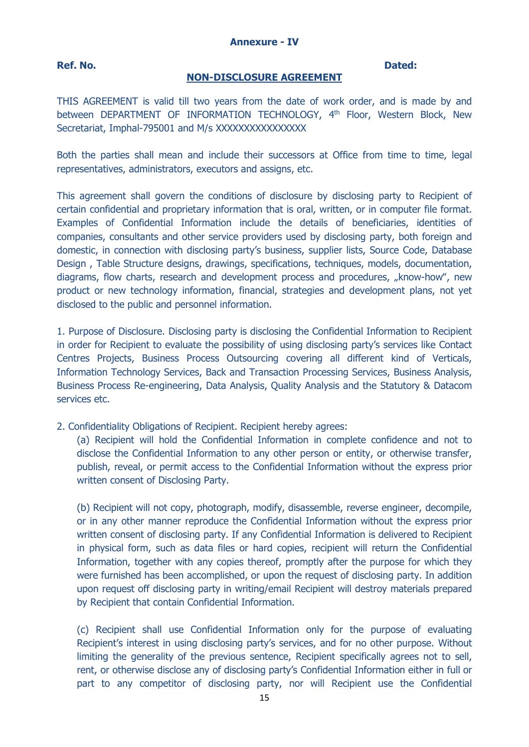## Annexure - IV

#### Ref. No. Dated:

#### NON-DISCLOSURE AGREEMENT

THIS AGREEMENT is valid till two years from the date of work order, and is made by and between DEPARTMENT OF INFORMATION TECHNOLOGY, 4<sup>th</sup> Floor, Western Block, New Secretariat, Imphal-795001 and M/s XXXXXXXXXXXXXXX

Both the parties shall mean and include their successors at Office from time to time, legal representatives, administrators, executors and assigns, etc.

This agreement shall govern the conditions of disclosure by disclosing party to Recipient of certain confidential and proprietary information that is oral, written, or in computer file format. Examples of Confidential Information include the details of beneficiaries, identities of companies, consultants and other service providers used by disclosing party, both foreign and domestic, in connection with disclosing party's business, supplier lists, Source Code, Database Design , Table Structure designs, drawings, specifications, techniques, models, documentation, diagrams, flow charts, research and development process and procedures, "know-how", new product or new technology information, financial, strategies and development plans, not yet disclosed to the public and personnel information.

1. Purpose of Disclosure. Disclosing party is disclosing the Confidential Information to Recipient in order for Recipient to evaluate the possibility of using disclosing party's services like Contact Centres Projects, Business Process Outsourcing covering all different kind of Verticals, Information Technology Services, Back and Transaction Processing Services, Business Analysis, Business Process Re-engineering, Data Analysis, Quality Analysis and the Statutory & Datacom services etc.

2. Confidentiality Obligations of Recipient. Recipient hereby agrees:

(a) Recipient will hold the Confidential Information in complete confidence and not to disclose the Confidential Information to any other person or entity, or otherwise transfer, publish, reveal, or permit access to the Confidential Information without the express prior written consent of Disclosing Party.

(b) Recipient will not copy, photograph, modify, disassemble, reverse engineer, decompile, or in any other manner reproduce the Confidential Information without the express prior written consent of disclosing party. If any Confidential Information is delivered to Recipient in physical form, such as data files or hard copies, recipient will return the Confidential Information, together with any copies thereof, promptly after the purpose for which they were furnished has been accomplished, or upon the request of disclosing party. In addition upon request off disclosing party in writing/email Recipient will destroy materials prepared by Recipient that contain Confidential Information.

(c) Recipient shall use Confidential Information only for the purpose of evaluating Recipient's interest in using disclosing party's services, and for no other purpose. Without limiting the generality of the previous sentence, Recipient specifically agrees not to sell, rent, or otherwise disclose any of disclosing party's Confidential Information either in full or part to any competitor of disclosing party, nor will Recipient use the Confidential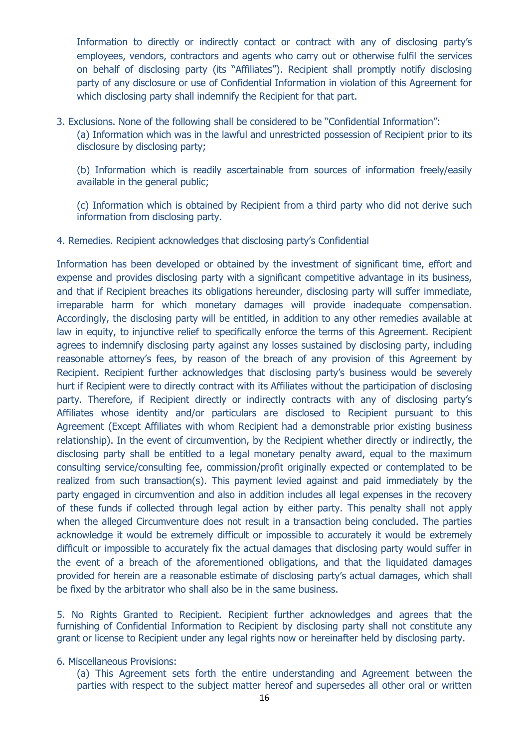Information to directly or indirectly contact or contract with any of disclosing party's employees, vendors, contractors and agents who carry out or otherwise fulfil the services on behalf of disclosing party (its "Affiliates"). Recipient shall promptly notify disclosing party of any disclosure or use of Confidential Information in violation of this Agreement for which disclosing party shall indemnify the Recipient for that part.

3. Exclusions. None of the following shall be considered to be "Confidential Information": (a) Information which was in the lawful and unrestricted possession of Recipient prior to its disclosure by disclosing party;

(b) Information which is readily ascertainable from sources of information freely/easily available in the general public;

(c) Information which is obtained by Recipient from a third party who did not derive such information from disclosing party.

#### 4. Remedies. Recipient acknowledges that disclosing party's Confidential

Information has been developed or obtained by the investment of significant time, effort and expense and provides disclosing party with a significant competitive advantage in its business, and that if Recipient breaches its obligations hereunder, disclosing party will suffer immediate, irreparable harm for which monetary damages will provide inadequate compensation. Accordingly, the disclosing party will be entitled, in addition to any other remedies available at law in equity, to injunctive relief to specifically enforce the terms of this Agreement. Recipient agrees to indemnify disclosing party against any losses sustained by disclosing party, including reasonable attorney's fees, by reason of the breach of any provision of this Agreement by Recipient. Recipient further acknowledges that disclosing party's business would be severely hurt if Recipient were to directly contract with its Affiliates without the participation of disclosing party. Therefore, if Recipient directly or indirectly contracts with any of disclosing party's Affiliates whose identity and/or particulars are disclosed to Recipient pursuant to this Agreement (Except Affiliates with whom Recipient had a demonstrable prior existing business relationship). In the event of circumvention, by the Recipient whether directly or indirectly, the disclosing party shall be entitled to a legal monetary penalty award, equal to the maximum consulting service/consulting fee, commission/profit originally expected or contemplated to be realized from such transaction(s). This payment levied against and paid immediately by the party engaged in circumvention and also in addition includes all legal expenses in the recovery of these funds if collected through legal action by either party. This penalty shall not apply when the alleged Circumventure does not result in a transaction being concluded. The parties acknowledge it would be extremely difficult or impossible to accurately it would be extremely difficult or impossible to accurately fix the actual damages that disclosing party would suffer in the event of a breach of the aforementioned obligations, and that the liquidated damages provided for herein are a reasonable estimate of disclosing party's actual damages, which shall be fixed by the arbitrator who shall also be in the same business.

5. No Rights Granted to Recipient. Recipient further acknowledges and agrees that the furnishing of Confidential Information to Recipient by disclosing party shall not constitute any grant or license to Recipient under any legal rights now or hereinafter held by disclosing party.

## 6. Miscellaneous Provisions:

(a) This Agreement sets forth the entire understanding and Agreement between the parties with respect to the subject matter hereof and supersedes all other oral or written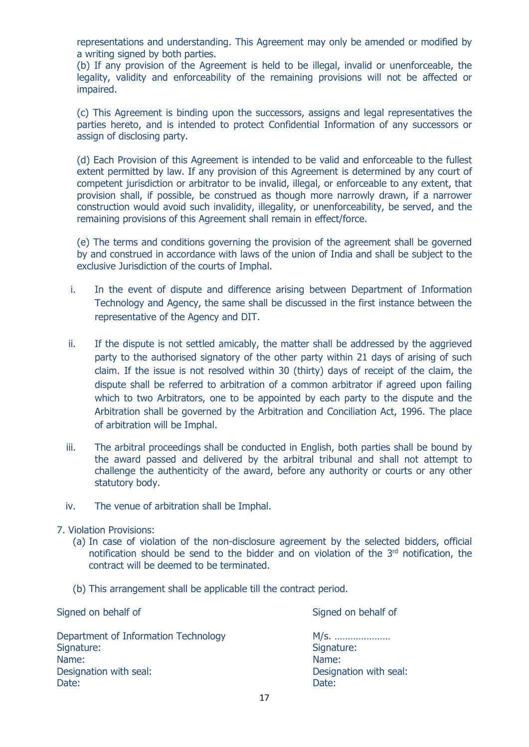representations and understanding. This Agreement may only be amended or modified by a writing signed by both parties.

(b) If any provision of the Agreement is held to be illegal, invalid or unenforceable, the legality, validity and enforceability of the remaining provisions will not be affected or impaired.

(c) This Agreement is binding upon the successors, assigns and legal representatives the parties hereto, and is intended to protect Confidential Information of any successors or assign of disclosing party.

(d) Each Provision of this Agreement is intended to be valid and enforceable to the fullest extent permitted by law. If any provision of this Agreement is determined by any court of competent jurisdiction or arbitrator to be invalid, illegal, or enforceable to any extent, that provision shall, if possible, be construed as though more narrowly drawn, if a narrower construction would avoid such invalidity, illegality, or unenforceability, be served, and the remaining provisions of this Agreement shall remain in effect/force.

(e) The terms and conditions governing the provision of the agreement shall be governed by and construed in accordance with laws of the union of India and shall be subject to the exclusive Jurisdiction of the courts of Imphal.

- i. In the event of dispute and difference arising between Department of Information Technology and Agency, the same shall be discussed in the first instance between the representative of the Agency and DIT.
- ii. If the dispute is not settled amicably, the matter shall be addressed by the aggrieved party to the authorised signatory of the other party within 21 days of arising of such claim. If the issue is not resolved within 30 (thirty) days of receipt of the claim, the dispute shall be referred to arbitration of a common arbitrator if agreed upon failing which to two Arbitrators, one to be appointed by each party to the dispute and the Arbitration shall be governed by the Arbitration and Conciliation Act, 1996. The place of arbitration will be Imphal.
- iii. The arbitral proceedings shall be conducted in English, both parties shall be bound by the award passed and delivered by the arbitral tribunal and shall not attempt to challenge the authenticity of the award, before any authority or courts or any other statutory body.
- iv. The venue of arbitration shall be Imphal.
- 7. Violation Provisions:
	- (a) In case of violation of the non-disclosure agreement by the selected bidders, official notification should be send to the bidder and on violation of the 3<sup>rd</sup> notification, the contract will be deemed to be terminated.
	- (b) This arrangement shall be applicable till the contract period.

Signed on behalf of Signed on behalf of Signed on behalf of Signed on behalf of Signed on behalf of Signed on behalf of Signed on Behalf of Signed on Behalf of Signed on Behalf of Signed on Behalf of Signed on Behalf of Si Department of Information Technology M/s. ………………… Signature: Signature: Name: Name: Designation with seal: Designation with seal: Date: **Date: Date: Date: Date: Date: Date: Date: Date: Date: Date: Date: Date: Date: Date: Date: Date: Date: Date: Date: Date: Date: Date: Date: Date: Date: Date: Date:**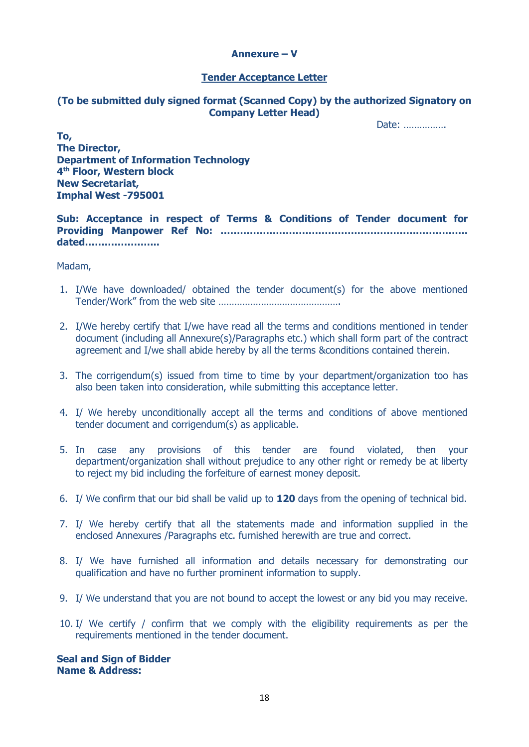## Annexure – V

## Tender Acceptance Letter

## (To be submitted duly signed format (Scanned Copy) by the authorized Signatory on Company Letter Head)

Date: …………….

To, The Director, Department of Information Technology 4 th Floor, Western block New Secretariat, Imphal West -795001

Sub: Acceptance in respect of Terms & Conditions of Tender document for Providing Manpower Ref No: …………………………………………………………………. dated…………………..

Madam,

- 1. I/We have downloaded/ obtained the tender document(s) for the above mentioned Tender/Work" from the web site ……………………………………….
- 2. I/We hereby certify that I/we have read all the terms and conditions mentioned in tender document (including all Annexure(s)/Paragraphs etc.) which shall form part of the contract agreement and I/we shall abide hereby by all the terms &conditions contained therein.
- 3. The corrigendum(s) issued from time to time by your department/organization too has also been taken into consideration, while submitting this acceptance letter.
- 4. I/ We hereby unconditionally accept all the terms and conditions of above mentioned tender document and corrigendum(s) as applicable.
- 5. In case any provisions of this tender are found violated, then your department/organization shall without prejudice to any other right or remedy be at liberty to reject my bid including the forfeiture of earnest money deposit.
- 6. I/ We confirm that our bid shall be valid up to 120 days from the opening of technical bid.
- 7. I/ We hereby certify that all the statements made and information supplied in the enclosed Annexures /Paragraphs etc. furnished herewith are true and correct.
- 8. I/ We have furnished all information and details necessary for demonstrating our qualification and have no further prominent information to supply.
- 9. I/ We understand that you are not bound to accept the lowest or any bid you may receive.
- 10. I/ We certify / confirm that we comply with the eligibility requirements as per the requirements mentioned in the tender document.

Seal and Sign of Bidder Name & Address: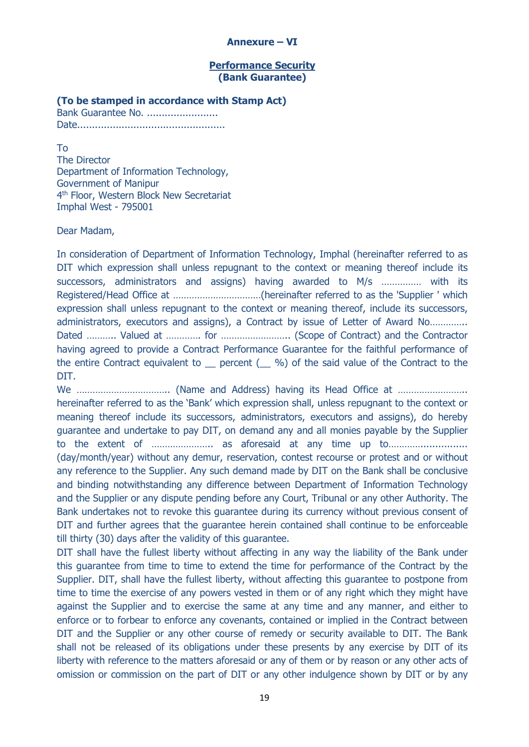## Annexure – VI

#### Performance Security (Bank Guarantee)

(To be stamped in accordance with Stamp Act) Bank Guarantee No. ........................

Date..................................................

To The Director Department of Information Technology, Government of Manipur 4 th Floor, Western Block New Secretariat Imphal West - 795001

Dear Madam,

In consideration of Department of Information Technology, Imphal (hereinafter referred to as DIT which expression shall unless repugnant to the context or meaning thereof include its successors, administrators and assigns) having awarded to M/s …………… with its Registered/Head Office at ……………………………(hereinafter referred to as the 'Supplier ' which expression shall unless repugnant to the context or meaning thereof, include its successors, administrators, executors and assigns), a Contract by issue of Letter of Award No………….. Dated ……….. Valued at ………….. for …………………….. (Scope of Contract) and the Contractor having agreed to provide a Contract Performance Guarantee for the faithful performance of the entire Contract equivalent to  $\qquad$  percent ( $\qquad$  %) of the said value of the Contract to the DIT.

We …………………………….. (Name and Address) having its Head Office at …………………….. hereinafter referred to as the 'Bank' which expression shall, unless repugnant to the context or meaning thereof include its successors, administrators, executors and assigns), do hereby guarantee and undertake to pay DIT, on demand any and all monies payable by the Supplier to the extent of ...................... as aforesaid at any time up to............................. (day/month/year) without any demur, reservation, contest recourse or protest and or without any reference to the Supplier. Any such demand made by DIT on the Bank shall be conclusive and binding notwithstanding any difference between Department of Information Technology and the Supplier or any dispute pending before any Court, Tribunal or any other Authority. The Bank undertakes not to revoke this guarantee during its currency without previous consent of DIT and further agrees that the guarantee herein contained shall continue to be enforceable till thirty (30) days after the validity of this guarantee.

DIT shall have the fullest liberty without affecting in any way the liability of the Bank under this guarantee from time to time to extend the time for performance of the Contract by the Supplier. DIT, shall have the fullest liberty, without affecting this guarantee to postpone from time to time the exercise of any powers vested in them or of any right which they might have against the Supplier and to exercise the same at any time and any manner, and either to enforce or to forbear to enforce any covenants, contained or implied in the Contract between DIT and the Supplier or any other course of remedy or security available to DIT. The Bank shall not be released of its obligations under these presents by any exercise by DIT of its liberty with reference to the matters aforesaid or any of them or by reason or any other acts of omission or commission on the part of DIT or any other indulgence shown by DIT or by any